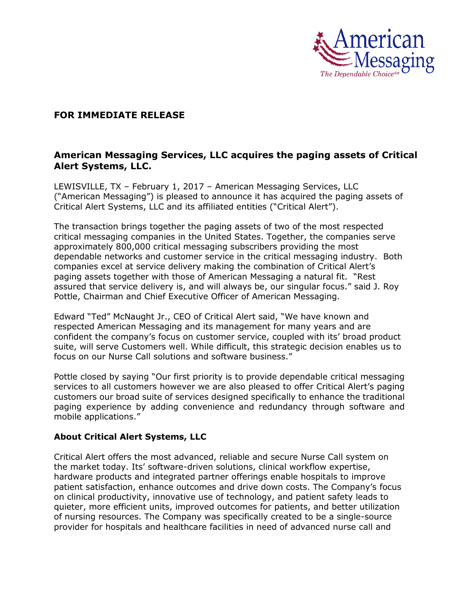

## **FOR IMMEDIATE RELEASE**

## **American Messaging Services, LLC acquires the paging assets of Critical Alert Systems, LLC.**

LEWISVILLE, TX – February 1, 2017 – American Messaging Services, LLC ("American Messaging") is pleased to announce it has acquired the paging assets of Critical Alert Systems, LLC and its affiliated entities ("Critical Alert").

The transaction brings together the paging assets of two of the most respected critical messaging companies in the United States. Together, the companies serve approximately 800,000 critical messaging subscribers providing the most dependable networks and customer service in the critical messaging industry. Both companies excel at service delivery making the combination of Critical Alert's paging assets together with those of American Messaging a natural fit. "Rest assured that service delivery is, and will always be, our singular focus." said J. Roy Pottle, Chairman and Chief Executive Officer of American Messaging.

Edward "Ted" McNaught Jr., CEO of Critical Alert said, "We have known and respected American Messaging and its management for many years and are confident the company's focus on customer service, coupled with its' broad product suite, will serve Customers well. While difficult, this strategic decision enables us to focus on our Nurse Call solutions and software business."

Pottle closed by saying "Our first priority is to provide dependable critical messaging services to all customers however we are also pleased to offer Critical Alert's paging customers our broad suite of services designed specifically to enhance the traditional paging experience by adding convenience and redundancy through software and mobile applications."

## **About Critical Alert Systems, LLC**

Critical Alert offers the most advanced, reliable and secure Nurse Call system on the market today. Its' software-driven solutions, clinical workflow expertise, hardware products and integrated partner offerings enable hospitals to improve patient satisfaction, enhance outcomes and drive down costs. The Company's focus on clinical productivity, innovative use of technology, and patient safety leads to quieter, more efficient units, improved outcomes for patients, and better utilization of nursing resources. The Company was specifically created to be a single-source provider for hospitals and healthcare facilities in need of advanced nurse call and